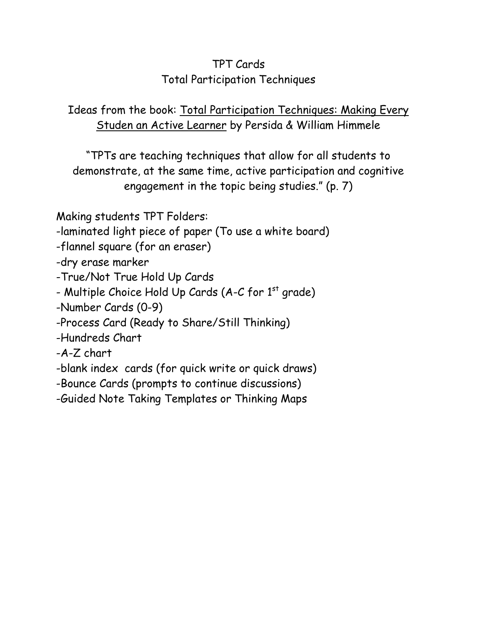## TPT Cards Total Participation Techniques

Ideas from the book: Total Participation Techniques: Making Every Studen an Active Learner by Persida & William Himmele

"TPTs are teaching techniques that allow for all students to demonstrate, at the same time, active participation and cognitive engagement in the topic being studies." (p. 7)

Making students TPT Folders:

-laminated light piece of paper (To use a white board)

-flannel square (for an eraser)

-dry erase marker

-True/Not True Hold Up Cards

- Multiple Choice Hold Up Cards (A-C for 1<sup>st</sup> grade)

-Number Cards (0-9)

-Process Card (Ready to Share/Still Thinking)

-Hundreds Chart

-A-Z chart

-blank index cards (for quick write or quick draws)

-Bounce Cards (prompts to continue discussions)

-Guided Note Taking Templates or Thinking Maps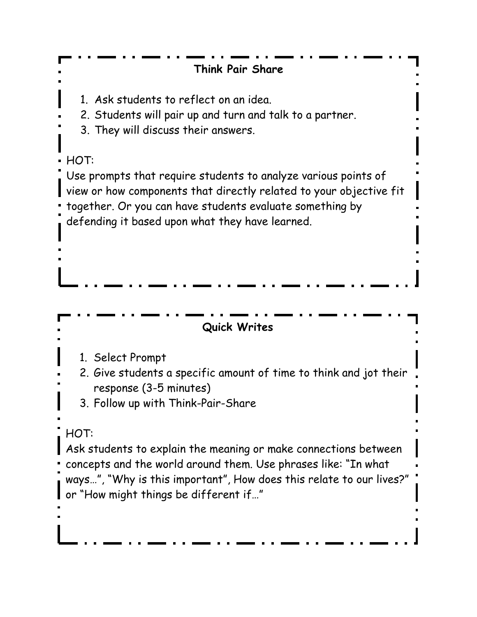**Quick Writes** 1. Select Prompt 2. Give students a specific amount of time to think and jot their response (3-5 minutes) 3. Follow up with Think-Pair-Share HOT: Ask students to explain the meaning or make connections between concepts and the world around them. Use phrases like: "In what ways…", "Why is this important", How does this relate to our lives?" or "How might things be different if…" **Think Pair Share** 1. Ask students to reflect on an idea. 2. Students will pair up and turn and talk to a partner. 3. They will discuss their answers. HOT: Use prompts that require students to analyze various points of view or how components that directly related to your objective fit together. Or you can have students evaluate something by defending it based upon what they have learned.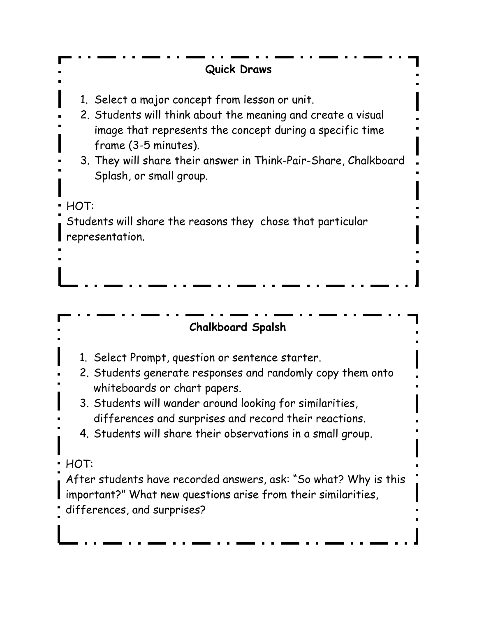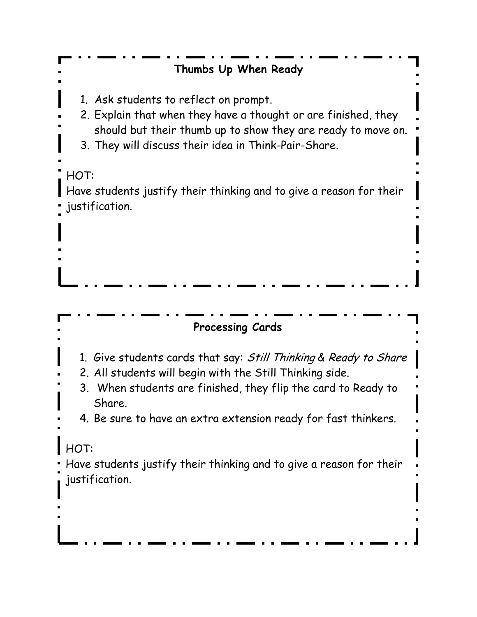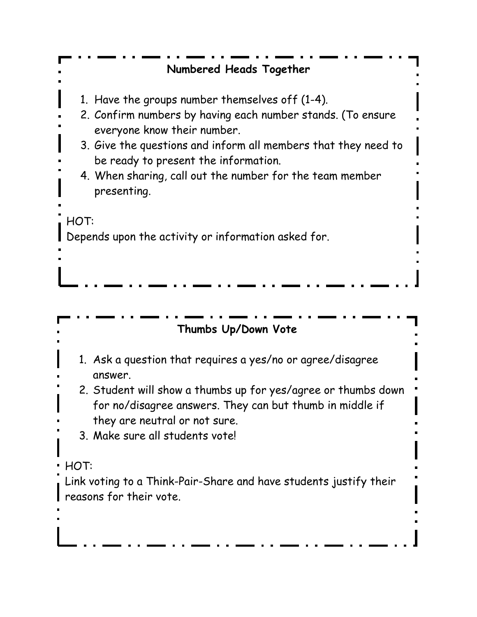# **Numbered Heads Together**

- 1. Have the groups number themselves off (1-4).
- 2. Confirm numbers by having each number stands. (To ensure everyone know their number.
- 3. Give the questions and inform all members that they need to be ready to present the information.
- 4. When sharing, call out the number for the team member presenting.

HOT:

Depends upon the activity or information asked for.

#### **Thumbs Up/Down Vote**

- 1. Ask a question that requires a yes/no or agree/disagree answer.
- 2. Student will show a thumbs up for yes/agree or thumbs down for no/disagree answers. They can but thumb in middle if they are neutral or not sure.
- 3. Make sure all students vote!
- $\cdot$  HOT:

Link voting to a Think-Pair-Share and have students justify their reasons for their vote.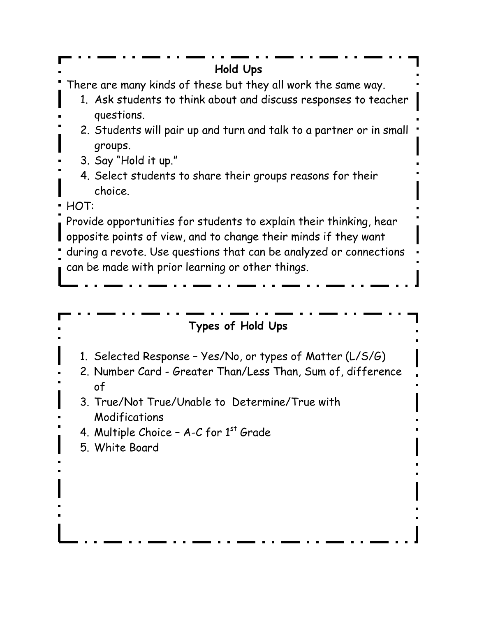| Hold Ups                                                                                                                                                                                                                                                        |
|-----------------------------------------------------------------------------------------------------------------------------------------------------------------------------------------------------------------------------------------------------------------|
| There are many kinds of these but they all work the same way.<br>1. Ask students to think about and discuss responses to teacher                                                                                                                                |
| questions.<br>2. Students will pair up and turn and talk to a partner or in small<br>groups.                                                                                                                                                                    |
| 3. Say "Hold it up."<br>4. Select students to share their groups reasons for their                                                                                                                                                                              |
| choice.<br>HOT:                                                                                                                                                                                                                                                 |
| Provide opportunities for students to explain their thinking, hear<br>opposite points of view, and to change their minds if they want<br>during a revote. Use questions that can be analyzed or connections<br>can be made with prior learning or other things. |
|                                                                                                                                                                                                                                                                 |
|                                                                                                                                                                                                                                                                 |
| Types of Hold Ups                                                                                                                                                                                                                                               |
| 1. Selected Response - Yes/No, or types of Matter (L/S/G)<br>2. Number Card - Greater Than/Less Than, Sum of, difference<br>of                                                                                                                                  |
| 3. True/Not True/Unable to Determine/True with                                                                                                                                                                                                                  |
| Modifications                                                                                                                                                                                                                                                   |
| 4. Multiple Choice - $A-C$ for $1st$ Grade<br>5. White Board                                                                                                                                                                                                    |
|                                                                                                                                                                                                                                                                 |
|                                                                                                                                                                                                                                                                 |
|                                                                                                                                                                                                                                                                 |
|                                                                                                                                                                                                                                                                 |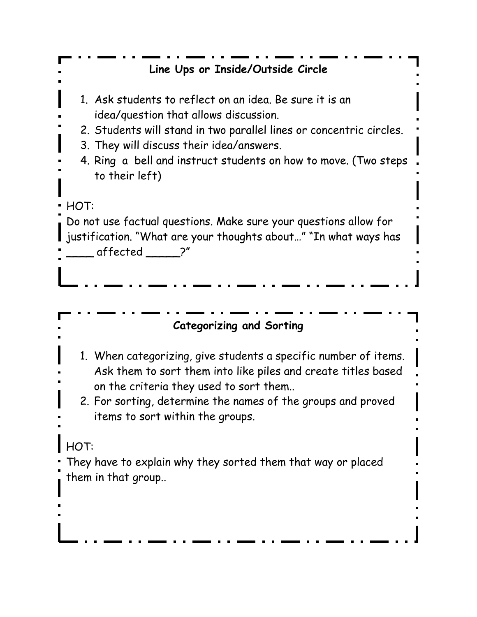| Line Ups or Inside/Outside Circle                                                                                                                                                                                                                                                                        |
|----------------------------------------------------------------------------------------------------------------------------------------------------------------------------------------------------------------------------------------------------------------------------------------------------------|
| 1. Ask students to reflect on an idea. Be sure it is an<br>idea/question that allows discussion.<br>2. Students will stand in two parallel lines or concentric circles.<br>3. They will discuss their idea/answers.<br>4. Ring a bell and instruct students on how to move. (Two steps<br>to their left) |
| HOT:<br>Do not use factual questions. Make sure your questions allow for<br>justification. "What are your thoughts about" "In what ways has<br>affected ?"                                                                                                                                               |
|                                                                                                                                                                                                                                                                                                          |
|                                                                                                                                                                                                                                                                                                          |
| <b>Categorizing and Sorting</b>                                                                                                                                                                                                                                                                          |
| 1. When categorizing, give students a specific number of items.<br>Ask them to sort them into like piles and create titles based<br>on the criteria they used to sort them<br>2. For sorting, determine the names of the groups and proved<br>items to sort within the groups.                           |
| <b>HOT:</b>                                                                                                                                                                                                                                                                                              |
|                                                                                                                                                                                                                                                                                                          |
| They have to explain why they sorted them that way or placed<br>them in that group                                                                                                                                                                                                                       |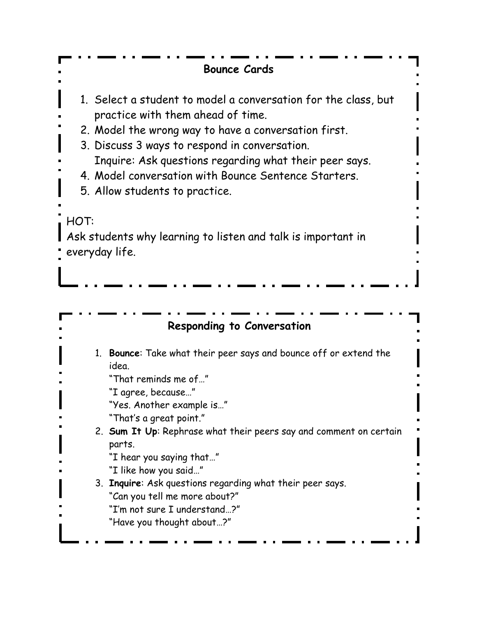#### **Bounce Cards**

- 1. Select a student to model a conversation for the class, but practice with them ahead of time.
- 2. Model the wrong way to have a conversation first.
- 3. Discuss 3 ways to respond in conversation.
- Inquire: Ask questions regarding what their peer says.
- 4. Model conversation with Bounce Sentence Starters.
- 5. Allow students to practice.

### HOT:

Ask students why learning to listen and talk is important in everyday life.

### **Responding to Conversation**

1. **Bounce**: Take what their peer says and bounce off or extend the idea.

"That reminds me of…"

"I agree, because…"

"Yes. Another example is…"

"That's a great point."

2. **Sum It Up**: Rephrase what their peers say and comment on certain parts.

"I hear you saying that…"

"I like how you said…"

3. **Inquire**: Ask questions regarding what their peer says. "Can you tell me more about?" "I'm not sure I understand…?"

"Have you thought about…?"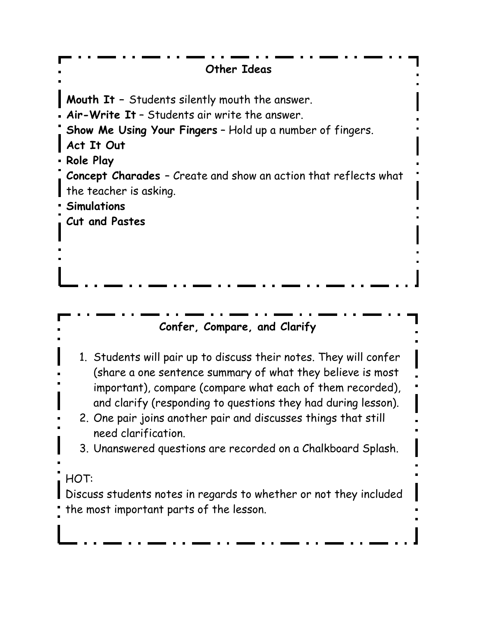| <b>Other Ideas</b>                                                                                                                                                                                                                                                                                                                                                                                                     |
|------------------------------------------------------------------------------------------------------------------------------------------------------------------------------------------------------------------------------------------------------------------------------------------------------------------------------------------------------------------------------------------------------------------------|
| <b>Mouth It</b> - Students silently mouth the answer.<br>Air-Write It - Students air write the answer.<br>Show Me Using Your Fingers - Hold up a number of fingers.<br>Act It Out<br>Role Play<br>Concept Charades - Create and show an action that reflects what<br>the teacher is asking.<br><b>Simulations</b><br>Cut and Pastes                                                                                    |
| Confer, Compare, and Clarify                                                                                                                                                                                                                                                                                                                                                                                           |
| 1. Students will pair up to discuss their notes. They will confer<br>(share a one sentence summary of what they believe is most<br>important), compare (compare what each of them recorded),<br>and clarify (responding to questions they had during lesson).<br>2. One pair joins another pair and discusses things that still<br>need clarification.<br>3. Unanswered questions are recorded on a Chalkboard Splash. |
| HOT:<br>Discuss students notes in regards to whether or not they included<br>the most important parts of the lesson.                                                                                                                                                                                                                                                                                                   |